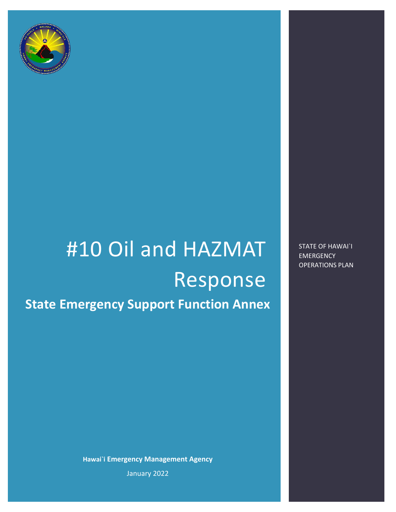

# #10 Oil and HAZMAT Response **State Emergency Support Function Annex**

**Hawai`i Emergency Management Agency** January 2022

STATE OF HAWAI`I EMERGENCY OPERATIONS PLAN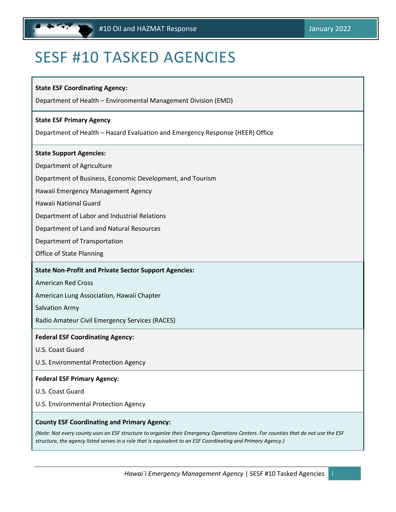# <span id="page-1-0"></span>SESF #10 TASKED AGENCIES

#### **State ESF Coordinating Agency:**

Department of Health – Environmental Management Division (EMD)

#### **State ESF Primary Agency**

Department of Health – Hazard Evaluation and Emergency Response (HEER) Office

#### **State Support Agencies:**

Department of Agriculture

Department of Business, Economic Development, and Tourism

Hawaii Emergency Management Agency

Hawaii National Guard

Department of Labor and Industrial Relations

Department of Land and Natural Resources

Department of Transportation

Office of State Planning

#### **State Non-Profit and Private Sector Support Agencies:**

American Red Cross

American Lung Association, Hawaii Chapter

Salvation Army

Radio Amateur Civil Emergency Services (RACES)

#### **Federal ESF Coordinating Agency:**

U.S. Coast Guard

U.S. Environmental Protection Agency

#### **Federal ESF Primary Agency:**

U.S. Coast Guard

U.S. Environmental Protection Agency

#### **County ESF Coordinating and Primary Agency:**

*(Note: Not every county uses an ESF structure to organize their Emergency Operations Centers. For counties that do not use the ESF structure, the agency listed serves in a role that is equivalent to an ESF Coordinating and Primary Agency.)*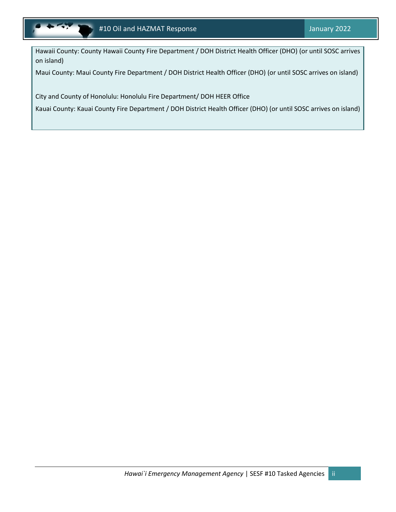

Hawaii County: County Hawaii County Fire Department / DOH District Health Officer (DHO) (or until SOSC arrives on island)

Maui County: Maui County Fire Department / DOH District Health Officer (DHO) (or until SOSC arrives on island)

City and County of Honolulu: Honolulu Fire Department/ DOH HEER Office

Kauai County: Kauai County Fire Department / DOH District Health Officer (DHO) (or until SOSC arrives on island)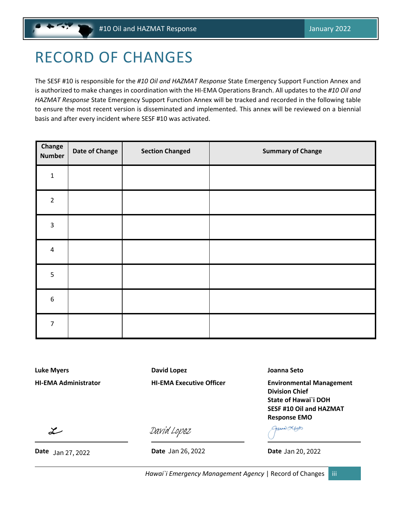# <span id="page-3-0"></span>RECORD OF CHANGES

The SESF #10 is responsible for the *#10 Oil and HAZMAT Response* State Emergency Support Function Annex and is authorized to make changes in coordination with the HI-EMA Operations Branch. All updates to the *#10 Oil and HAZMAT Response* State Emergency Support Function Annex will be tracked and recorded in the following table to ensure the most recent version is disseminated and implemented. This annex will be reviewed on a biennial basis and after every incident where SESF #10 was activated.

| Change<br><b>Number</b> | Date of Change | <b>Section Changed</b> | <b>Summary of Change</b> |
|-------------------------|----------------|------------------------|--------------------------|
| $\mathbf{1}$            |                |                        |                          |
| $\overline{2}$          |                |                        |                          |
| $\overline{3}$          |                |                        |                          |
| $\pmb{4}$               |                |                        |                          |
| 5                       |                |                        |                          |
| $\boldsymbol{6}$        |                |                        |                          |
| $\overline{7}$          |                |                        |                          |

**Luke Myers David Lopez Joanna Seto**

**HI-EMA Administrator HI-EMA Executive Officer Environmental Management Division Chief State of Hawai`i DOH SESF #10 Oil and HAZMAT Response EMO**

 $\mathcal{L}$ 

**Date Jan 27, 2022 Date Date Date Date Date Date Date Date Date Date Date Date**  $\frac{\partial \text{Avi}}{\partial \text{B}}$ <br>Date Jan 26, 2022<br>Date Jan 26, 2022 Date Jan 26, 2022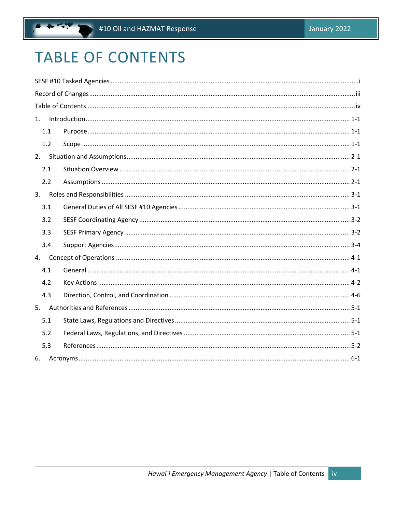# <span id="page-4-0"></span>**TABLE OF CONTENTS**

 $\ddot{\phantom{0}}$ 

| 1. |     | $Introduction 1-1-1$ |  |
|----|-----|----------------------|--|
|    | 1.1 |                      |  |
|    | 1.2 |                      |  |
| 2. |     |                      |  |
|    | 2.1 |                      |  |
|    | 2.2 |                      |  |
| 3. |     |                      |  |
|    | 3.1 |                      |  |
|    | 3.2 |                      |  |
|    | 3.3 |                      |  |
|    | 3.4 |                      |  |
| 4. |     |                      |  |
|    | 4.1 |                      |  |
|    | 4.2 |                      |  |
|    | 4.3 |                      |  |
| 5. |     |                      |  |
|    | 5.1 |                      |  |
|    | 5.2 |                      |  |
|    | 5.3 |                      |  |
| 6. |     |                      |  |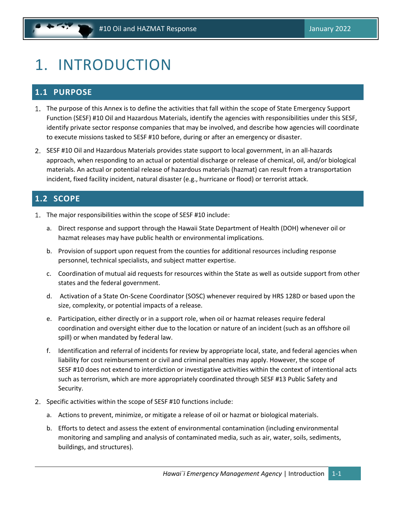# <span id="page-5-0"></span>1. INTRODUCTION

# <span id="page-5-1"></span>**1.1 PURPOSE**

- The purpose of this Annex is to define the activities that fall within the scope of State Emergency Support Function (SESF) #10 Oil and Hazardous Materials, identify the agencies with responsibilities under this SESF, identify private sector response companies that may be involved, and describe how agencies will coordinate to execute missions tasked to SESF #10 before, during or after an emergency or disaster.
- 2. SESF #10 Oil and Hazardous Materials provides state support to local government, in an all-hazards approach, when responding to an actual or potential discharge or release of chemical, oil, and/or biological materials. An actual or potential release of hazardous materials (hazmat) can result from a transportation incident, fixed facility incident, natural disaster (e.g., hurricane or flood) or terrorist attack.

# <span id="page-5-2"></span>**1.2 SCOPE**

- 1. The major responsibilities within the scope of SESF #10 include:
	- a. Direct response and support through the Hawaii State Department of Health (DOH) whenever oil or hazmat releases may have public health or environmental implications.
	- b. Provision of support upon request from the counties for additional resources including response personnel, technical specialists, and subject matter expertise.
	- c. Coordination of mutual aid requests for resources within the State as well as outside support from other states and the federal government.
	- d. Activation of a State On-Scene Coordinator (SOSC) whenever required by HRS 128D or based upon the size, complexity, or potential impacts of a release.
	- e. Participation, either directly or in a support role, when oil or hazmat releases require federal coordination and oversight either due to the location or nature of an incident (such as an offshore oil spill) or when mandated by federal law.
	- f. Identification and referral of incidents for review by appropriate local, state, and federal agencies when liability for cost reimbursement or civil and criminal penalties may apply. However, the scope of SESF #10 does not extend to interdiction or investigative activities within the context of intentional acts such as terrorism, which are more appropriately coordinated through SESF #13 Public Safety and Security.
- 2. Specific activities within the scope of SESF #10 functions include:
	- a. Actions to prevent, minimize, or mitigate a release of oil or hazmat or biological materials.
	- b. Efforts to detect and assess the extent of environmental contamination (including environmental monitoring and sampling and analysis of contaminated media, such as air, water, soils, sediments, buildings, and structures).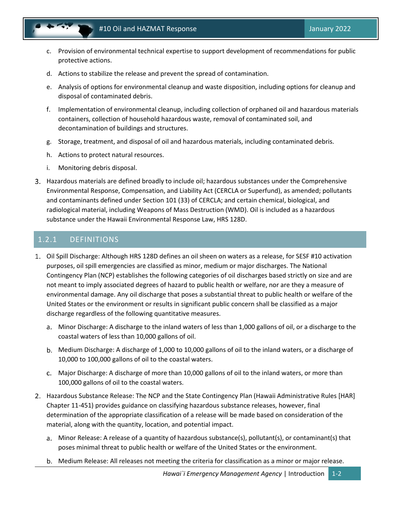- c. Provision of environmental technical expertise to support development of recommendations for public protective actions.
- d. Actions to stabilize the release and prevent the spread of contamination.
- e. Analysis of options for environmental cleanup and waste disposition, including options for cleanup and disposal of contaminated debris.
- f. Implementation of environmental cleanup, including collection of orphaned oil and hazardous materials containers, collection of household hazardous waste, removal of contaminated soil, and decontamination of buildings and structures.
- g. Storage, treatment, and disposal of oil and hazardous materials, including contaminated debris.
- h. Actions to protect natural resources.
- i. Monitoring debris disposal.
- Hazardous materials are defined broadly to include oil; hazardous substances under the Comprehensive Environmental Response, Compensation, and Liability Act (CERCLA or Superfund), as amended; pollutants and contaminants defined under Section 101 (33) of CERCLA; and certain chemical, biological, and radiological material, including Weapons of Mass Destruction (WMD). Oil is included as a hazardous substance under the Hawaii Environmental Response Law, HRS 128D.

### 1.2.1 DEFINITIONS

- Oil Spill Discharge: Although HRS 128D defines an oil sheen on waters as a release, for SESF #10 activation purposes, oil spill emergencies are classified as minor, medium or major discharges. The National Contingency Plan (NCP) establishes the following categories of oil discharges based strictly on size and are not meant to imply associated degrees of hazard to public health or welfare, nor are they a measure of environmental damage. Any oil discharge that poses a substantial threat to public health or welfare of the United States or the environment or results in significant public concern shall be classified as a major discharge regardless of the following quantitative measures.
	- Minor Discharge: A discharge to the inland waters of less than 1,000 gallons of oil, or a discharge to the coastal waters of less than 10,000 gallons of oil.
	- Medium Discharge: A discharge of 1,000 to 10,000 gallons of oil to the inland waters, or a discharge of 10,000 to 100,000 gallons of oil to the coastal waters.
	- Major Discharge: A discharge of more than 10,000 gallons of oil to the inland waters, or more than 100,000 gallons of oil to the coastal waters.
- 2. Hazardous Substance Release: The NCP and the State Contingency Plan (Hawaii Administrative Rules [HAR] Chapter 11-451) provides guidance on classifying hazardous substance releases, however, final determination of the appropriate classification of a release will be made based on consideration of the material, along with the quantity, location, and potential impact.
	- Minor Release: A release of a quantity of hazardous substance(s), pollutant(s), or contaminant(s) that poses minimal threat to public health or welfare of the United States or the environment.
	- Medium Release: All releases not meeting the criteria for classification as a minor or major release.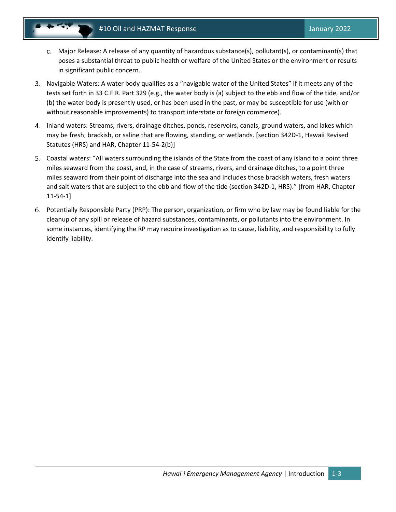- Major Release: A release of any quantity of hazardous substance(s), pollutant(s), or contaminant(s) that poses a substantial threat to public health or welfare of the United States or the environment or results in significant public concern.
- Navigable Waters: A water body qualifies as a "navigable water of the United States" if it meets any of the tests set forth in 33 C.F.R. Part 329 (e.g., the water body is (a) subject to the ebb and flow of the tide, and/or (b) the water body is presently used, or has been used in the past, or may be susceptible for use (with or without reasonable improvements) to transport interstate or foreign commerce).
- Inland waters: Streams, rivers, drainage ditches, ponds, reservoirs, canals, ground waters, and lakes which may be fresh, brackish, or saline that are flowing, standing, or wetlands. [section 342D-1, Hawaii Revised Statutes (HRS) and HAR, Chapter 11-54-2(b)]
- Coastal waters: "All waters surrounding the islands of the State from the coast of any island to a point three miles seaward from the coast, and, in the case of streams, rivers, and drainage ditches, to a point three miles seaward from their point of discharge into the sea and includes those brackish waters, fresh waters and salt waters that are subject to the ebb and flow of the tide (section 342D-1, HRS)." [from HAR, Chapter 11-54-1]
- Potentially Responsible Party (PRP): The person, organization, or firm who by law may be found liable for the cleanup of any spill or release of hazard substances, contaminants, or pollutants into the environment. In some instances, identifying the RP may require investigation as to cause, liability, and responsibility to fully identify liability.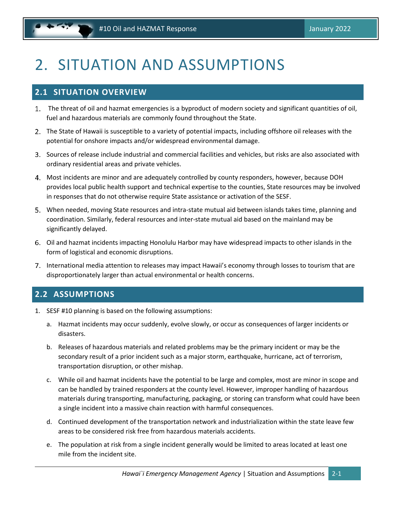# <span id="page-8-0"></span>2. SITUATION AND ASSUMPTIONS

# <span id="page-8-1"></span>**2.1 SITUATION OVERVIEW**

- The threat of oil and hazmat emergencies is a byproduct of modern society and significant quantities of oil, fuel and hazardous materials are commonly found throughout the State.
- The State of Hawaii is susceptible to a variety of potential impacts, including offshore oil releases with the potential for onshore impacts and/or widespread environmental damage.
- Sources of release include industrial and commercial facilities and vehicles, but risks are also associated with ordinary residential areas and private vehicles.
- Most incidents are minor and are adequately controlled by county responders, however, because DOH provides local public health support and technical expertise to the counties, State resources may be involved in responses that do not otherwise require State assistance or activation of the SESF.
- When needed, moving State resources and intra-state mutual aid between islands takes time, planning and coordination. Similarly, federal resources and inter-state mutual aid based on the mainland may be significantly delayed.
- Oil and hazmat incidents impacting Honolulu Harbor may have widespread impacts to other islands in the form of logistical and economic disruptions.
- 7. International media attention to releases may impact Hawaii's economy through losses to tourism that are disproportionately larger than actual environmental or health concerns.

# <span id="page-8-2"></span>**2.2 ASSUMPTIONS**

- 1. SESF #10 planning is based on the following assumptions:
	- a. Hazmat incidents may occur suddenly, evolve slowly, or occur as consequences of larger incidents or disasters.
	- b. Releases of hazardous materials and related problems may be the primary incident or may be the secondary result of a prior incident such as a major storm, earthquake, hurricane, act of terrorism, transportation disruption, or other mishap.
	- c. While oil and hazmat incidents have the potential to be large and complex, most are minor in scope and can be handled by trained responders at the county level. However, improper handling of hazardous materials during transporting, manufacturing, packaging, or storing can transform what could have been a single incident into a massive chain reaction with harmful consequences.
	- d. Continued development of the transportation network and industrialization within the state leave few areas to be considered risk free from hazardous materials accidents.
	- e. The population at risk from a single incident generally would be limited to areas located at least one mile from the incident site.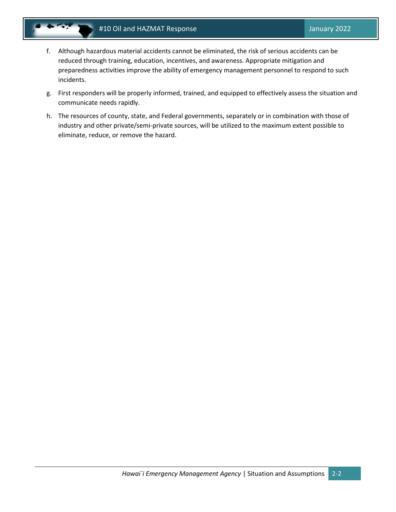- - f. Although hazardous material accidents cannot be eliminated, the risk of serious accidents can be reduced through training, education, incentives, and awareness. Appropriate mitigation and preparedness activities improve the ability of emergency management personnel to respond to such incidents.
	- g. First responders will be properly informed, trained, and equipped to effectively assess the situation and communicate needs rapidly.
	- h. The resources of county, state, and Federal governments, separately or in combination with those of industry and other private/semi-private sources, will be utilized to the maximum extent possible to eliminate, reduce, or remove the hazard.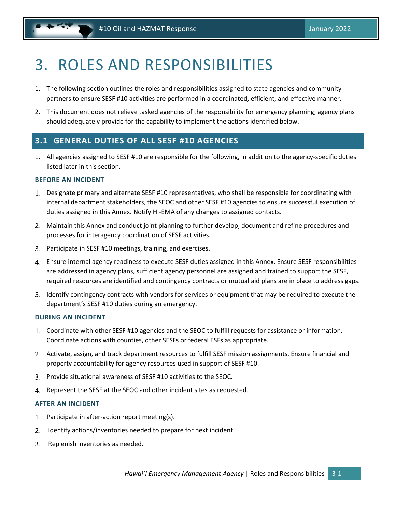# <span id="page-10-0"></span>3. ROLES AND RESPONSIBILITIES

- 1. The following section outlines the roles and responsibilities assigned to state agencies and community partners to ensure SESF #10 activities are performed in a coordinated, efficient, and effective manner.
- 2. This document does not relieve tasked agencies of the responsibility for emergency planning; agency plans should adequately provide for the capability to implement the actions identified below.

### <span id="page-10-1"></span>**3.1 GENERAL DUTIES OF ALL SESF #10 AGENCIES**

1. All agencies assigned to SESF #10 are responsible for the following, in addition to the agency-specific duties listed later in this section.

#### **BEFORE AN INCIDENT**

- Designate primary and alternate SESF #10 representatives, who shall be responsible for coordinating with internal department stakeholders, the SEOC and other SESF #10 agencies to ensure successful execution of duties assigned in this Annex. Notify HI-EMA of any changes to assigned contacts.
- Maintain this Annex and conduct joint planning to further develop, document and refine procedures and processes for interagency coordination of SESF activities.
- Participate in SESF #10 meetings, training, and exercises.
- Ensure internal agency readiness to execute SESF duties assigned in this Annex. Ensure SESF responsibilities are addressed in agency plans, sufficient agency personnel are assigned and trained to support the SESF, required resources are identified and contingency contracts or mutual aid plans are in place to address gaps.
- Identify contingency contracts with vendors for services or equipment that may be required to execute the department's SESF #10 duties during an emergency.

#### **DURING AN INCIDENT**

- Coordinate with other SESF #10 agencies and the SEOC to fulfill requests for assistance or information. Coordinate actions with counties, other SESFs or federal ESFs as appropriate.
- 2. Activate, assign, and track department resources to fulfill SESF mission assignments. Ensure financial and property accountability for agency resources used in support of SESF #10.
- Provide situational awareness of SESF #10 activities to the SEOC.
- 4. Represent the SESF at the SEOC and other incident sites as requested.

#### **AFTER AN INCIDENT**

- 1. Participate in after-action report meeting(s).
- $2.$ Identify actions/inventories needed to prepare for next incident.
- 3. Replenish inventories as needed.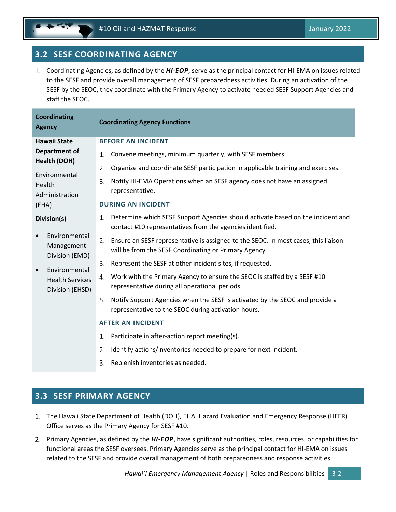# <span id="page-11-0"></span>**3.2 SESF COORDINATING AGENCY**

Coordinating Agencies, as defined by the *HI-EOP*, serve as the principal contact for HI-EMA on issues related to the SESF and provide overall management of SESF preparedness activities. During an activation of the SESF by the SEOC, they coordinate with the Primary Agency to activate needed SESF Support Agencies and staff the SEOC.

| <b>Coordinating</b><br><b>Agency</b>                       | <b>Coordinating Agency Functions</b>                                                                                                              |  |  |  |  |
|------------------------------------------------------------|---------------------------------------------------------------------------------------------------------------------------------------------------|--|--|--|--|
| <b>Hawaii State</b>                                        | <b>BEFORE AN INCIDENT</b>                                                                                                                         |  |  |  |  |
| Department of                                              | Convene meetings, minimum quarterly, with SESF members.<br>1.                                                                                     |  |  |  |  |
| Health (DOH)                                               | Organize and coordinate SESF participation in applicable training and exercises.<br>2.                                                            |  |  |  |  |
| Environmental<br>Health<br>Administration                  | Notify HI-EMA Operations when an SESF agency does not have an assigned<br>3.<br>representative.                                                   |  |  |  |  |
| (EHA)                                                      | <b>DURING AN INCIDENT</b>                                                                                                                         |  |  |  |  |
| Division(s)                                                | 1. Determine which SESF Support Agencies should activate based on the incident and<br>contact #10 representatives from the agencies identified.   |  |  |  |  |
| Environmental<br>Management<br>Division (EMD)              | Ensure an SESF representative is assigned to the SEOC. In most cases, this liaison<br>2.<br>will be from the SESF Coordinating or Primary Agency. |  |  |  |  |
|                                                            | 3.<br>Represent the SESF at other incident sites, if requested.                                                                                   |  |  |  |  |
| Environmental<br><b>Health Services</b><br>Division (EHSD) | Work with the Primary Agency to ensure the SEOC is staffed by a SESF #10<br>4.<br>representative during all operational periods.                  |  |  |  |  |
|                                                            | Notify Support Agencies when the SESF is activated by the SEOC and provide a<br>5.<br>representative to the SEOC during activation hours.         |  |  |  |  |
|                                                            | <b>AFTER AN INCIDENT</b>                                                                                                                          |  |  |  |  |
|                                                            | Participate in after-action report meeting(s).<br>1.                                                                                              |  |  |  |  |
|                                                            | Identify actions/inventories needed to prepare for next incident.<br>2.                                                                           |  |  |  |  |
|                                                            | Replenish inventories as needed.<br>3.                                                                                                            |  |  |  |  |

# <span id="page-11-1"></span>**3.3 SESF PRIMARY AGENCY**

- The Hawaii State Department of Health (DOH), EHA, Hazard Evaluation and Emergency Response (HEER) Office serves as the Primary Agency for SESF #10.
- Primary Agencies, as defined by the *HI-EOP*, have significant authorities, roles, resources, or capabilities for functional areas the SESF oversees. Primary Agencies serve as the principal contact for HI-EMA on issues related to the SESF and provide overall management of both preparedness and response activities.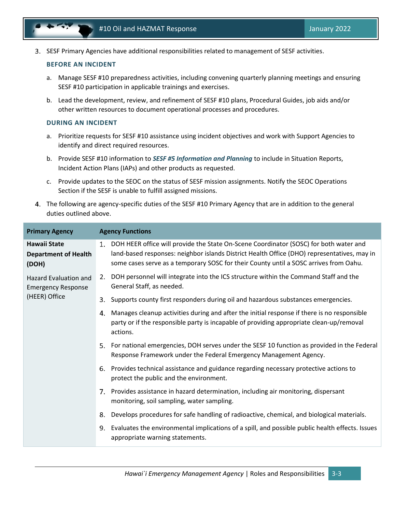SESF Primary Agencies have additional responsibilities related to management of SESF activities.

#### **BEFORE AN INCIDENT**

- a. Manage SESF #10 preparedness activities, including convening quarterly planning meetings and ensuring SESF #10 participation in applicable trainings and exercises.
- b. Lead the development, review, and refinement of SESF #10 plans, Procedural Guides, job aids and/or other written resources to document operational processes and procedures.

#### **DURING AN INCIDENT**

- a. Prioritize requests for SESF #10 assistance using incident objectives and work with Support Agencies to identify and direct required resources.
- b. Provide SESF #10 information to *SESF #5 Information and Planning* to include in Situation Reports, Incident Action Plans (IAPs) and other products as requested.
- c. Provide updates to the SEOC on the status of SESF mission assignments. Notify the SEOC Operations Section if the SESF is unable to fulfill assigned missions.
- The following are agency-specific duties of the SESF #10 Primary Agency that are in addition to the general duties outlined above.

| <b>Primary Agency</b>                                       | <b>Agency Functions</b>                                                                                                                                                                                                                                                             |
|-------------------------------------------------------------|-------------------------------------------------------------------------------------------------------------------------------------------------------------------------------------------------------------------------------------------------------------------------------------|
| <b>Hawaii State</b><br><b>Department of Health</b><br>(DOH) | DOH HEER office will provide the State On-Scene Coordinator (SOSC) for both water and<br>1.<br>land-based responses: neighbor islands District Health Office (DHO) representatives, may in<br>some cases serve as a temporary SOSC for their County until a SOSC arrives from Oahu. |
| <b>Hazard Evaluation and</b><br><b>Emergency Response</b>   | DOH personnel will integrate into the ICS structure within the Command Staff and the<br>2.<br>General Staff, as needed.                                                                                                                                                             |
| (HEER) Office                                               | Supports county first responders during oil and hazardous substances emergencies.<br>3.                                                                                                                                                                                             |
|                                                             | Manages cleanup activities during and after the initial response if there is no responsible<br>4.<br>party or if the responsible party is incapable of providing appropriate clean-up/removal<br>actions.                                                                           |
|                                                             | For national emergencies, DOH serves under the SESF 10 function as provided in the Federal<br>5.<br>Response Framework under the Federal Emergency Management Agency.                                                                                                               |
|                                                             | 6. Provides technical assistance and guidance regarding necessary protective actions to<br>protect the public and the environment.                                                                                                                                                  |
|                                                             | 7. Provides assistance in hazard determination, including air monitoring, dispersant<br>monitoring, soil sampling, water sampling.                                                                                                                                                  |
|                                                             | Develops procedures for safe handling of radioactive, chemical, and biological materials.<br>8.                                                                                                                                                                                     |
|                                                             | Evaluates the environmental implications of a spill, and possible public health effects. Issues<br>9.<br>appropriate warning statements.                                                                                                                                            |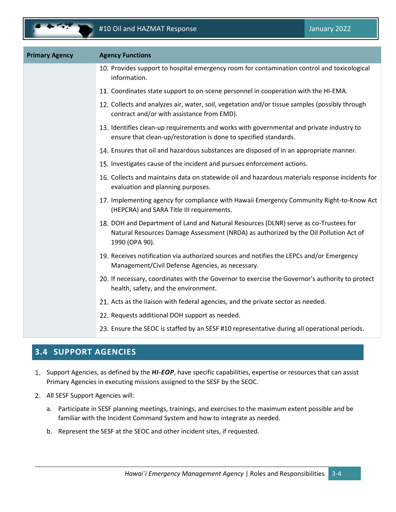| <b>Primary Agency</b> | <b>Agency Functions</b>                                                                                                                                                                        |
|-----------------------|------------------------------------------------------------------------------------------------------------------------------------------------------------------------------------------------|
|                       | 10. Provides support to hospital emergency room for contamination control and toxicological<br>information.                                                                                    |
|                       | 11. Coordinates state support to on-scene personnel in cooperation with the HI-EMA.                                                                                                            |
|                       | 12. Collects and analyzes air, water, soil, vegetation and/or tissue samples (possibly through<br>contract and/or with assistance from EMD).                                                   |
|                       | 13. Identifies clean-up requirements and works with governmental and private industry to<br>ensure that clean-up/restoration is done to specified standards.                                   |
|                       | 14. Ensures that oil and hazardous substances are disposed of in an appropriate manner.                                                                                                        |
|                       | 15. Investigates cause of the incident and pursues enforcement actions.                                                                                                                        |
|                       | 16. Collects and maintains data on statewide oil and hazardous materials response incidents for<br>evaluation and planning purposes.                                                           |
|                       | 17. Implementing agency for compliance with Hawaii Emergency Community Right-to-Know Act<br>(HEPCRA) and SARA Title III requirements.                                                          |
|                       | 18. DOH and Department of Land and Natural Resources (DLNR) serve as co-Trustees for<br>Natural Resources Damage Assessment (NRDA) as authorized by the Oil Pollution Act of<br>1990 (OPA 90). |
|                       | 19. Receives notification via authorized sources and notifies the LEPCs and/or Emergency<br>Management/Civil Defense Agencies, as necessary.                                                   |
|                       | 20. If necessary, coordinates with the Governor to exercise the Governor's authority to protect<br>health, safety, and the environment.                                                        |
|                       | 21. Acts as the liaison with federal agencies, and the private sector as needed.                                                                                                               |
|                       | 22. Requests additional DOH support as needed.                                                                                                                                                 |
|                       | 23. Ensure the SEOC is staffed by an SESF #10 representative during all operational periods.                                                                                                   |

# <span id="page-13-0"></span>**3.4 SUPPORT AGENCIES**

- Support Agencies, as defined by the *HI-EOP*, have specific capabilities, expertise or resources that can assist Primary Agencies in executing missions assigned to the SESF by the SEOC.
- All SESF Support Agencies will:
	- a. Participate in SESF planning meetings, trainings, and exercises to the maximum extent possible and be familiar with the Incident Command System and how to integrate as needed.
	- b. Represent the SESF at the SEOC and other incident sites, if requested.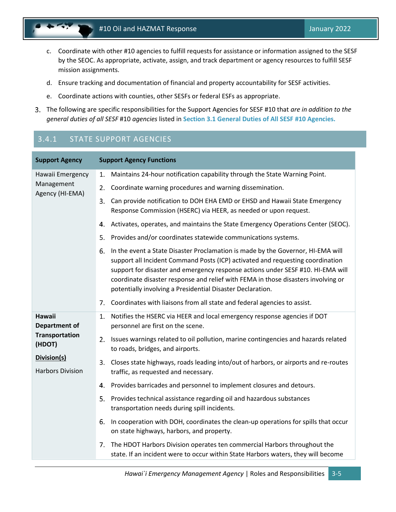- c. Coordinate with other #10 agencies to fulfill requests for assistance or information assigned to the SESF by the SEOC. As appropriate, activate, assign, and track department or agency resources to fulfill SESF mission assignments.
- d. Ensure tracking and documentation of financial and property accountability for SESF activities.
- e. Coordinate actions with counties, other SESFs or federal ESFs as appropriate.
- The following are specific responsibilities for the Support Agencies for SESF #10 that *are in addition to the general duties of all SESF* #10 *agencies* listed in **Sectio[n 3.1](#page-10-1) [General Duties of All SESF #10](#page-10-1) Agencies.**

# 3.4.1 STATE SUPPORT AGENCIES

| <b>Support Agency</b>                  | <b>Support Agency Functions</b>                                                                                                                                                                                                                                                                                                                                                                               |
|----------------------------------------|---------------------------------------------------------------------------------------------------------------------------------------------------------------------------------------------------------------------------------------------------------------------------------------------------------------------------------------------------------------------------------------------------------------|
| Hawaii Emergency                       | Maintains 24-hour notification capability through the State Warning Point.<br>1.                                                                                                                                                                                                                                                                                                                              |
| Management<br>Agency (HI-EMA)          | Coordinate warning procedures and warning dissemination.<br>2.                                                                                                                                                                                                                                                                                                                                                |
|                                        | Can provide notification to DOH EHA EMD or EHSD and Hawaii State Emergency<br>3.<br>Response Commission (HSERC) via HEER, as needed or upon request.                                                                                                                                                                                                                                                          |
|                                        | Activates, operates, and maintains the State Emergency Operations Center (SEOC).<br>4.                                                                                                                                                                                                                                                                                                                        |
|                                        | 5.<br>Provides and/or coordinates statewide communications systems.                                                                                                                                                                                                                                                                                                                                           |
|                                        | In the event a State Disaster Proclamation is made by the Governor, HI-EMA will<br>6.<br>support all Incident Command Posts (ICP) activated and requesting coordination<br>support for disaster and emergency response actions under SESF #10. HI-EMA will<br>coordinate disaster response and relief with FEMA in those disasters involving or<br>potentially involving a Presidential Disaster Declaration. |
|                                        | Coordinates with liaisons from all state and federal agencies to assist.<br>7.                                                                                                                                                                                                                                                                                                                                |
| <b>Hawaii</b><br><b>Department of</b>  | Notifies the HSERC via HEER and local emergency response agencies if DOT<br>1.<br>personnel are first on the scene.                                                                                                                                                                                                                                                                                           |
| Transportation<br>(HDOT)               | Issues warnings related to oil pollution, marine contingencies and hazards related<br>2.<br>to roads, bridges, and airports.                                                                                                                                                                                                                                                                                  |
| Division(s)<br><b>Harbors Division</b> | Closes state highways, roads leading into/out of harbors, or airports and re-routes<br>3.<br>traffic, as requested and necessary.                                                                                                                                                                                                                                                                             |
|                                        | Provides barricades and personnel to implement closures and detours.<br>4.                                                                                                                                                                                                                                                                                                                                    |
|                                        | Provides technical assistance regarding oil and hazardous substances<br>5.<br>transportation needs during spill incidents.                                                                                                                                                                                                                                                                                    |
|                                        | 6.<br>In cooperation with DOH, coordinates the clean-up operations for spills that occur<br>on state highways, harbors, and property.                                                                                                                                                                                                                                                                         |
|                                        | The HDOT Harbors Division operates ten commercial Harbors throughout the<br>7.<br>state. If an incident were to occur within State Harbors waters, they will become                                                                                                                                                                                                                                           |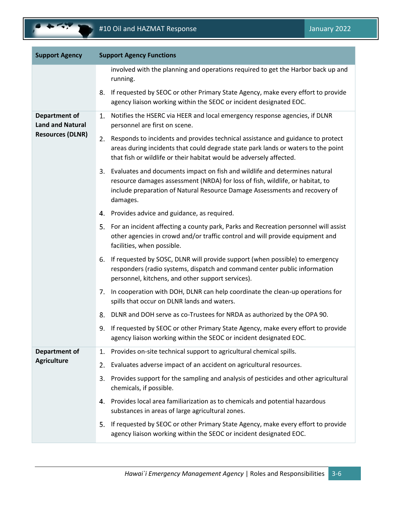| <b>Support Agency</b>                           | <b>Support Agency Functions</b>                                                                                                                                                                                                                             |  |  |  |  |
|-------------------------------------------------|-------------------------------------------------------------------------------------------------------------------------------------------------------------------------------------------------------------------------------------------------------------|--|--|--|--|
|                                                 | involved with the planning and operations required to get the Harbor back up and<br>running.                                                                                                                                                                |  |  |  |  |
|                                                 | If requested by SEOC or other Primary State Agency, make every effort to provide<br>8.<br>agency liaison working within the SEOC or incident designated EOC.                                                                                                |  |  |  |  |
| <b>Department of</b><br><b>Land and Natural</b> | Notifies the HSERC via HEER and local emergency response agencies, if DLNR<br>1.<br>personnel are first on scene.                                                                                                                                           |  |  |  |  |
| <b>Resources (DLNR)</b>                         | 2. Responds to incidents and provides technical assistance and guidance to protect<br>areas during incidents that could degrade state park lands or waters to the point<br>that fish or wildlife or their habitat would be adversely affected.              |  |  |  |  |
|                                                 | Evaluates and documents impact on fish and wildlife and determines natural<br>3.<br>resource damages assessment (NRDA) for loss of fish, wildlife, or habitat, to<br>include preparation of Natural Resource Damage Assessments and recovery of<br>damages. |  |  |  |  |
|                                                 | 4. Provides advice and guidance, as required.                                                                                                                                                                                                               |  |  |  |  |
|                                                 | 5. For an incident affecting a county park, Parks and Recreation personnel will assist<br>other agencies in crowd and/or traffic control and will provide equipment and<br>facilities, when possible.                                                       |  |  |  |  |
|                                                 | If requested by SOSC, DLNR will provide support (when possible) to emergency<br>6.<br>responders (radio systems, dispatch and command center public information<br>personnel, kitchens, and other support services).                                        |  |  |  |  |
|                                                 | 7. In cooperation with DOH, DLNR can help coordinate the clean-up operations for<br>spills that occur on DLNR lands and waters.                                                                                                                             |  |  |  |  |
|                                                 | DLNR and DOH serve as co-Trustees for NRDA as authorized by the OPA 90.<br>8.                                                                                                                                                                               |  |  |  |  |
|                                                 | If requested by SEOC or other Primary State Agency, make every effort to provide<br>9.<br>agency liaison working within the SEOC or incident designated EOC.                                                                                                |  |  |  |  |
| Department of                                   | Provides on-site technical support to agricultural chemical spills.<br>1.                                                                                                                                                                                   |  |  |  |  |
| <b>Agriculture</b>                              | Evaluates adverse impact of an accident on agricultural resources.<br>2.                                                                                                                                                                                    |  |  |  |  |
|                                                 | Provides support for the sampling and analysis of pesticides and other agricultural<br>3.<br>chemicals, if possible.                                                                                                                                        |  |  |  |  |
|                                                 | 4. Provides local area familiarization as to chemicals and potential hazardous<br>substances in areas of large agricultural zones.                                                                                                                          |  |  |  |  |
|                                                 | If requested by SEOC or other Primary State Agency, make every effort to provide<br>5.<br>agency liaison working within the SEOC or incident designated EOC.                                                                                                |  |  |  |  |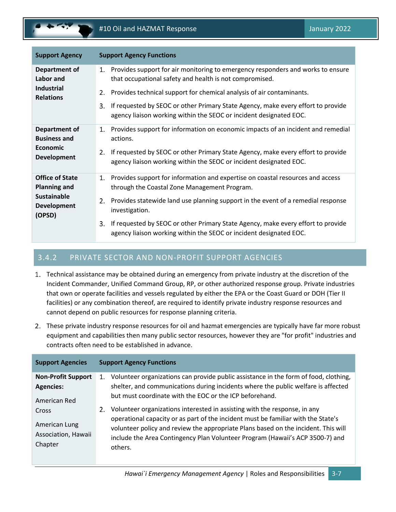

| <b>Support Agency</b>                                                                               | <b>Support Agency Functions</b>                                                                                                                                                                                                                                                                                                                                                                                  |
|-----------------------------------------------------------------------------------------------------|------------------------------------------------------------------------------------------------------------------------------------------------------------------------------------------------------------------------------------------------------------------------------------------------------------------------------------------------------------------------------------------------------------------|
| Department of<br>Labor and<br><b>Industrial</b><br><b>Relations</b>                                 | Provides support for air monitoring to emergency responders and works to ensure<br>1.<br>that occupational safety and health is not compromised.<br>Provides technical support for chemical analysis of air contaminants.<br>2.<br>If requested by SEOC or other Primary State Agency, make every effort to provide<br>3.<br>agency liaison working within the SEOC or incident designated EOC.                  |
| Department of<br><b>Business and</b><br><b>Economic</b><br><b>Development</b>                       | Provides support for information on economic impacts of an incident and remedial<br>1.<br>actions.<br>If requested by SEOC or other Primary State Agency, make every effort to provide<br>2.<br>agency liaison working within the SEOC or incident designated EOC.                                                                                                                                               |
| <b>Office of State</b><br><b>Planning and</b><br><b>Sustainable</b><br><b>Development</b><br>(OPSD) | Provides support for information and expertise on coastal resources and access<br>1.<br>through the Coastal Zone Management Program.<br>Provides statewide land use planning support in the event of a remedial response<br>2.<br>investigation.<br>If requested by SEOC or other Primary State Agency, make every effort to provide<br>3.<br>agency liaison working within the SEOC or incident designated EOC. |

### 3.4.2 PRIVATE SECTOR AND NON-PROFIT SUPPORT AGENCIES

- Technical assistance may be obtained during an emergency from private industry at the discretion of the Incident Commander, Unified Command Group, RP, or other authorized response group. Private industries that own or operate facilities and vessels regulated by either the EPA or the Coast Guard or DOH (Tier II facilities) or any combination thereof, are required to identify private industry response resources and cannot depend on public resources for response planning criteria.
- These private industry response resources for oil and hazmat emergencies are typically have far more robust equipment and capabilities then many public sector resources, however they are "for profit" industries and contracts often need to be established in advance.

| <b>Support Agencies</b>                                                  | <b>Support Agency Functions</b>                                                                                                                                                                                                                                                                                                                                                                                   |
|--------------------------------------------------------------------------|-------------------------------------------------------------------------------------------------------------------------------------------------------------------------------------------------------------------------------------------------------------------------------------------------------------------------------------------------------------------------------------------------------------------|
| <b>Non-Profit Support</b>                                                | Volunteer organizations can provide public assistance in the form of food, clothing,<br>1.                                                                                                                                                                                                                                                                                                                        |
| <b>Agencies:</b>                                                         | shelter, and communications during incidents where the public welfare is affected                                                                                                                                                                                                                                                                                                                                 |
| American Red<br>Cross<br>American Lung<br>Association, Hawaii<br>Chapter | but must coordinate with the EOC or the ICP beforehand.<br>Volunteer organizations interested in assisting with the response, in any<br>2.<br>operational capacity or as part of the incident must be familiar with the State's<br>volunteer policy and review the appropriate Plans based on the incident. This will<br>include the Area Contingency Plan Volunteer Program (Hawaii's ACP 3500-7) and<br>others. |
|                                                                          |                                                                                                                                                                                                                                                                                                                                                                                                                   |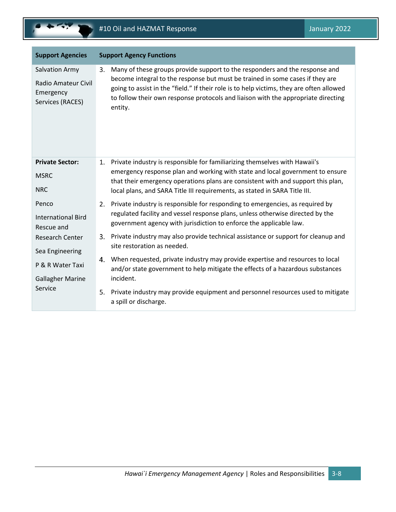| <b>Support Agencies</b>                                                       | <b>Support Agency Functions</b>                                                                                                                                                                                                                                                                                                                                |  |  |  |  |
|-------------------------------------------------------------------------------|----------------------------------------------------------------------------------------------------------------------------------------------------------------------------------------------------------------------------------------------------------------------------------------------------------------------------------------------------------------|--|--|--|--|
| <b>Salvation Army</b><br>Radio Amateur Civil<br>Emergency<br>Services (RACES) | Many of these groups provide support to the responders and the response and<br>3.<br>become integral to the response but must be trained in some cases if they are<br>going to assist in the "field." If their role is to help victims, they are often allowed<br>to follow their own response protocols and liaison with the appropriate directing<br>entity. |  |  |  |  |
| <b>Private Sector:</b><br><b>MSRC</b><br><b>NRC</b>                           | Private industry is responsible for familiarizing themselves with Hawaii's<br>1.<br>emergency response plan and working with state and local government to ensure<br>that their emergency operations plans are consistent with and support this plan,<br>local plans, and SARA Title III requirements, as stated in SARA Title III.                            |  |  |  |  |
| Penco<br><b>International Bird</b><br>Rescue and<br><b>Research Center</b>    | 2. Private industry is responsible for responding to emergencies, as required by<br>regulated facility and vessel response plans, unless otherwise directed by the<br>government agency with jurisdiction to enforce the applicable law.<br>Private industry may also provide technical assistance or support for cleanup and<br>3.                            |  |  |  |  |
| Sea Engineering                                                               | site restoration as needed.                                                                                                                                                                                                                                                                                                                                    |  |  |  |  |
| P & R Water Taxi<br><b>Gallagher Marine</b>                                   | When requested, private industry may provide expertise and resources to local<br>4.<br>and/or state government to help mitigate the effects of a hazardous substances<br>incident.                                                                                                                                                                             |  |  |  |  |
| Service                                                                       | Private industry may provide equipment and personnel resources used to mitigate<br>5.<br>a spill or discharge.                                                                                                                                                                                                                                                 |  |  |  |  |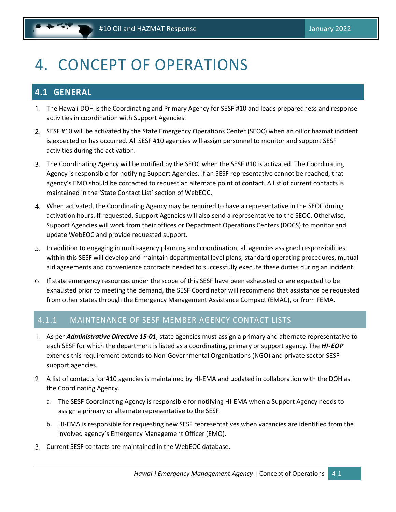# <span id="page-18-0"></span>4. CONCEPT OF OPERATIONS

# <span id="page-18-1"></span>**4.1 GENERAL**

- The Hawaii DOH is the Coordinating and Primary Agency for SESF #10 and leads preparedness and response activities in coordination with Support Agencies.
- 2. SESF #10 will be activated by the State Emergency Operations Center (SEOC) when an oil or hazmat incident is expected or has occurred. All SESF #10 agencies will assign personnel to monitor and support SESF activities during the activation.
- The Coordinating Agency will be notified by the SEOC when the SESF #10 is activated. The Coordinating Agency is responsible for notifying Support Agencies. If an SESF representative cannot be reached, that agency's EMO should be contacted to request an alternate point of contact. A list of current contacts is maintained in the 'State Contact List' section of WebEOC.
- When activated, the Coordinating Agency may be required to have a representative in the SEOC during activation hours. If requested, Support Agencies will also send a representative to the SEOC. Otherwise, Support Agencies will work from their offices or Department Operations Centers (DOCS) to monitor and update WebEOC and provide requested support.
- In addition to engaging in multi-agency planning and coordination, all agencies assigned responsibilities within this SESF will develop and maintain departmental level plans, standard operating procedures, mutual aid agreements and convenience contracts needed to successfully execute these duties during an incident.
- If state emergency resources under the scope of this SESF have been exhausted or are expected to be exhausted prior to meeting the demand, the SESF Coordinator will recommend that assistance be requested from other states through the Emergency Management Assistance Compact (EMAC), or from FEMA.

### 4.1.1 MAINTENANCE OF SESF MEMBER AGENCY CONTACT LISTS

- As per *Administrative Directive 15-01*, state agencies must assign a primary and alternate representative to each SESF for which the department is listed as a coordinating, primary or support agency. The *HI-EOP*  extends this requirement extends to Non-Governmental Organizations (NGO) and private sector SESF support agencies.
- A list of contacts for #10 agencies is maintained by HI-EMA and updated in collaboration with the DOH as the Coordinating Agency.
	- a. The SESF Coordinating Agency is responsible for notifying HI-EMA when a Support Agency needs to assign a primary or alternate representative to the SESF.
	- b. HI-EMA is responsible for requesting new SESF representatives when vacancies are identified from the involved agency's Emergency Management Officer (EMO).
- Current SESF contacts are maintained in the WebEOC database.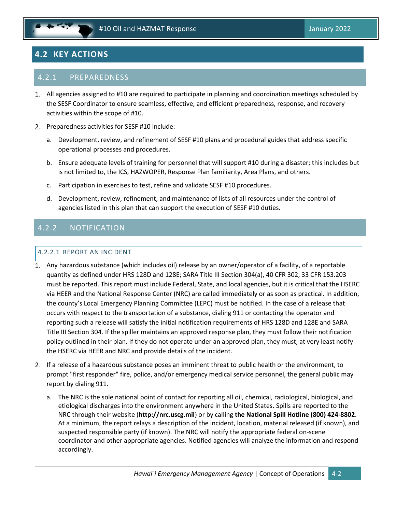# <span id="page-19-0"></span>**4.2 KEY ACTIONS**

### 4.2.1 PREPAREDNESS

- All agencies assigned to #10 are required to participate in planning and coordination meetings scheduled by the SESF Coordinator to ensure seamless, effective, and efficient preparedness, response, and recovery activities within the scope of #10.
- 2. Preparedness activities for SESF #10 include:
	- a. Development, review, and refinement of SESF #10 plans and procedural guides that address specific operational processes and procedures.
	- b. Ensure adequate levels of training for personnel that will support #10 during a disaster; this includes but is not limited to, the ICS, HAZWOPER, Response Plan familiarity, Area Plans, and others.
	- c. Participation in exercises to test, refine and validate SESF #10 procedures.
	- d. Development, review, refinement, and maintenance of lists of all resources under the control of agencies listed in this plan that can support the execution of SESF #10 duties.

# 4.2.2 NOTIFICATION

#### 4.2.2.1 REPORT AN INCIDENT

- Any hazardous substance (which includes oil) release by an owner/operator of a facility, of a reportable quantity as defined under HRS 128D and 128E; SARA Title III Section 304(a), 40 CFR 302, 33 CFR 153.203 must be reported. This report must include Federal, State, and local agencies, but it is critical that the HSERC via HEER and the National Response Center (NRC) are called immediately or as soon as practical. In addition, the county's Local Emergency Planning Committee (LEPC) must be notified. In the case of a release that occurs with respect to the transportation of a substance, dialing 911 or contacting the operator and reporting such a release will satisfy the initial notification requirements of HRS 128D and 128E and SARA Title III Section 304. If the spiller maintains an approved response plan, they must follow their notification policy outlined in their plan. If they do not operate under an approved plan, they must, at very least notify the HSERC via HEER and NRC and provide details of the incident.
- If a release of a hazardous substance poses an imminent threat to public health or the environment, to prompt "first responder" fire, police, and/or emergency medical service personnel, the general public may report by dialing 911.
	- a. The NRC is the sole national point of contact for reporting all oil, chemical, radiological, biological, and etiological discharges into the environment anywhere in the United States. Spills are reported to the NRC through their website (**http://nrc.uscg.mil**) or by calling **the National Spill Hotline (800) 424-8802**. At a minimum, the report relays a description of the incident, location, material released (if known), and suspected responsible party (if known). The NRC will notify the appropriate federal on-scene coordinator and other appropriate agencies. Notified agencies will analyze the information and respond accordingly.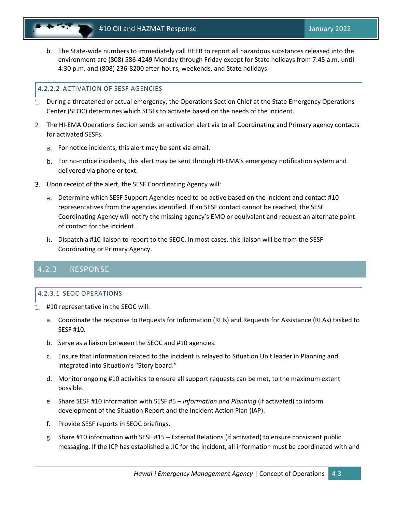

b. The State-wide numbers to immediately call HEER to report all hazardous substances released into the environment are (808) 586-4249 Monday through Friday except for State holidays from 7:45 a.m. until 4:30 p.m. and (808) 236-8200 after-hours, weekends, and State holidays.

#### 4.2.2.2 ACTIVATION OF SESF AGENCIES

- During a threatened or actual emergency, the Operations Section Chief at the State Emergency Operations Center (SEOC) determines which SESFs to activate based on the needs of the incident.
- The HI-EMA Operations Section sends an activation alert via to all Coordinating and Primary agency contacts for activated SESFs.
	- a. For notice incidents, this alert may be sent via email.
	- b. For no-notice incidents, this alert may be sent through HI-EMA's emergency notification system and delivered via phone or text.
- Upon receipt of the alert, the SESF Coordinating Agency will:
	- Determine which SESF Support Agencies need to be active based on the incident and contact #10 representatives from the agencies identified. If an SESF contact cannot be reached, the SESF Coordinating Agency will notify the missing agency's EMO or equivalent and request an alternate point of contact for the incident.
	- b. Dispatch a #10 liaison to report to the SEOC. In most cases, this liaison will be from the SESF Coordinating or Primary Agency.

### 4.2.3 RESPONSE

#### 4.2.3.1 SEOC OPERATIONS

- #10 representative in the SEOC will:
	- a. Coordinate the response to Requests for Information (RFIs) and Requests for Assistance (RFAs) tasked to SESF #10.
	- b. Serve as a liaison between the SEOC and #10 agencies.
	- c. Ensure that information related to the incident is relayed to Situation Unit leader in Planning and integrated into Situation's "Story board."
	- d. Monitor ongoing #10 activities to ensure all support requests can be met, to the maximum extent possible.
	- e. Share SESF #10 information with SESF #5 *Information and Planning* (if activated) to inform development of the Situation Report and the Incident Action Plan (IAP).
	- f. Provide SESF reports in SEOC briefings.
	- g. Share #10 information with SESF #15 External Relations (if activated) to ensure consistent public messaging. If the ICP has established a JIC for the incident, all information must be coordinated with and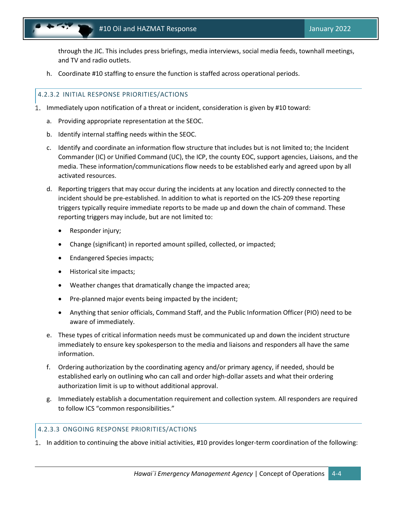

through the JIC. This includes press briefings, media interviews, social media feeds, townhall meetings, and TV and radio outlets.

h. Coordinate #10 staffing to ensure the function is staffed across operational periods.

#### 4.2.3.2 INITIAL RESPONSE PRIORITIES/ACTIONS

- 1. Immediately upon notification of a threat or incident, consideration is given by #10 toward:
	- a. Providing appropriate representation at the SEOC.
	- b. Identify internal staffing needs within the SEOC.
	- c. Identify and coordinate an information flow structure that includes but is not limited to; the Incident Commander (IC) or Unified Command (UC), the ICP, the county EOC, support agencies, Liaisons, and the media. These information/communications flow needs to be established early and agreed upon by all activated resources.
	- d. Reporting triggers that may occur during the incidents at any location and directly connected to the incident should be pre-established. In addition to what is reported on the ICS-209 these reporting triggers typically require immediate reports to be made up and down the chain of command. These reporting triggers may include, but are not limited to:
		- Responder injury;
		- Change (significant) in reported amount spilled, collected, or impacted;
		- Endangered Species impacts;
		- Historical site impacts;
		- Weather changes that dramatically change the impacted area;
		- Pre-planned major events being impacted by the incident;
		- Anything that senior officials, Command Staff, and the Public Information Officer (PIO) need to be aware of immediately.
	- e. These types of critical information needs must be communicated up and down the incident structure immediately to ensure key spokesperson to the media and liaisons and responders all have the same information.
	- f. Ordering authorization by the coordinating agency and/or primary agency, if needed, should be established early on outlining who can call and order high-dollar assets and what their ordering authorization limit is up to without additional approval.
	- g. Immediately establish a documentation requirement and collection system. All responders are required to follow ICS "common responsibilities."

#### 4.2.3.3 ONGOING RESPONSE PRIORITIES/ACTIONS

In addition to continuing the above initial activities, #10 provides longer-term coordination of the following: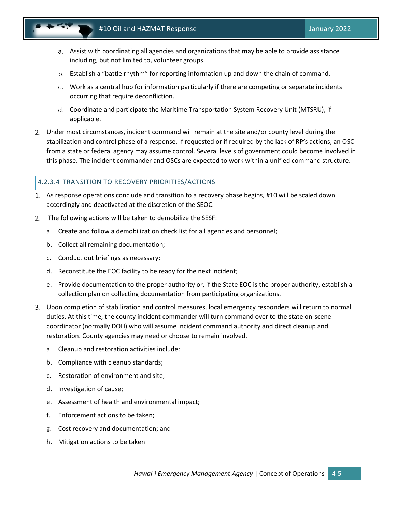

- Assist with coordinating all agencies and organizations that may be able to provide assistance including, but not limited to, volunteer groups.
- Establish a "battle rhythm" for reporting information up and down the chain of command.
- Work as a central hub for information particularly if there are competing or separate incidents occurring that require deconfliction.
- Coordinate and participate the Maritime Transportation System Recovery Unit (MTSRU), if applicable.
- Under most circumstances, incident command will remain at the site and/or county level during the stabilization and control phase of a response. If requested or if required by the lack of RP's actions, an OSC from a state or federal agency may assume control. Several levels of government could become involved in this phase. The incident commander and OSCs are expected to work within a unified command structure.

#### 4.2.3.4 TRANSITION TO RECOVERY PRIORITIES/ACTIONS

- As response operations conclude and transition to a recovery phase begins, #10 will be scaled down accordingly and deactivated at the discretion of the SEOC.
- The following actions will be taken to demobilize the SESF:
	- a. Create and follow a demobilization check list for all agencies and personnel;
	- b. Collect all remaining documentation;
	- c. Conduct out briefings as necessary;
	- d. Reconstitute the EOC facility to be ready for the next incident;
	- e. Provide documentation to the proper authority or, if the State EOC is the proper authority, establish a collection plan on collecting documentation from participating organizations.
- Upon completion of stabilization and control measures, local emergency responders will return to normal duties. At this time, the county incident commander will turn command over to the state on-scene coordinator (normally DOH) who will assume incident command authority and direct cleanup and restoration. County agencies may need or choose to remain involved.
	- a. Cleanup and restoration activities include:
	- b. Compliance with cleanup standards;
	- c. Restoration of environment and site;
	- d. Investigation of cause;
	- e. Assessment of health and environmental impact;
	- f. Enforcement actions to be taken;
	- g. Cost recovery and documentation; and
	- h. Mitigation actions to be taken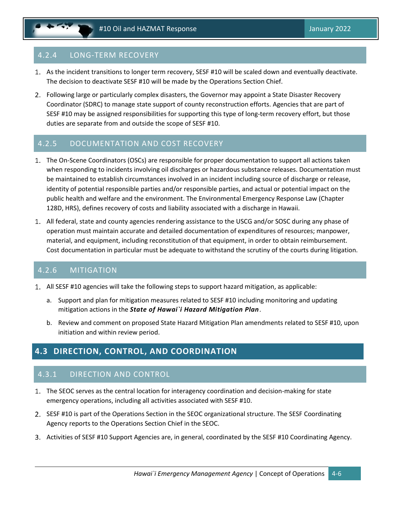### 4.2.4 LONG-TERM RECOVERY

- As the incident transitions to longer term recovery, SESF #10 will be scaled down and eventually deactivate. The decision to deactivate SESF #10 will be made by the Operations Section Chief.
- Following large or particularly complex disasters, the Governor may appoint a State Disaster Recovery Coordinator (SDRC) to manage state support of county reconstruction efforts. Agencies that are part of SESF #10 may be assigned responsibilities for supporting this type of long-term recovery effort, but those duties are separate from and outside the scope of SESF #10.

### 4.2.5 DOCUMENTATION AND COST RECOVERY

- The On-Scene Coordinators (OSCs) are responsible for proper documentation to support all actions taken when responding to incidents involving oil discharges or hazardous substance releases. Documentation must be maintained to establish circumstances involved in an incident including source of discharge or release, identity of potential responsible parties and/or responsible parties, and actual or potential impact on the public health and welfare and the environment. The Environmental Emergency Response Law (Chapter 128D, HRS), defines recovery of costs and liability associated with a discharge in Hawaii.
- All federal, state and county agencies rendering assistance to the USCG and/or SOSC during any phase of operation must maintain accurate and detailed documentation of expenditures of resources; manpower, material, and equipment, including reconstitution of that equipment, in order to obtain reimbursement. Cost documentation in particular must be adequate to withstand the scrutiny of the courts during litigation.

### 4.2.6 MITIGATION

- All SESF #10 agencies will take the following steps to support hazard mitigation, as applicable:
	- a. Support and plan for mitigation measures related to SESF #10 including monitoring and updating mitigation actions in the *State of Hawai`i Hazard Mitigation Plan*.
	- b. Review and comment on proposed State Hazard Mitigation Plan amendments related to SESF #10, upon initiation and within review period.

# <span id="page-23-0"></span>**4.3 DIRECTION, CONTROL, AND COORDINATION**

### 4.3.1 DIRECTION AND CONTROL

- The SEOC serves as the central location for interagency coordination and decision-making for state emergency operations, including all activities associated with SESF #10.
- 2. SESF #10 is part of the Operations Section in the SEOC organizational structure. The SESF Coordinating Agency reports to the Operations Section Chief in the SEOC.
- 3. Activities of SESF #10 Support Agencies are, in general, coordinated by the SESF #10 Coordinating Agency.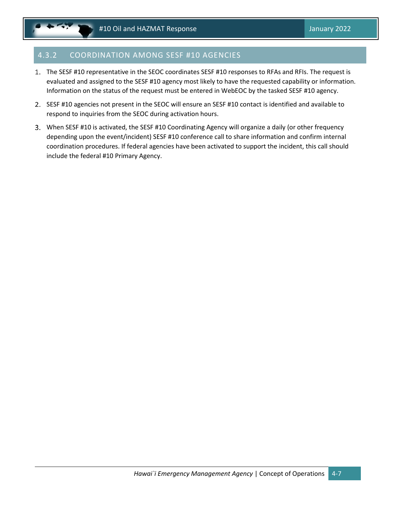# 4.3.2 COORDINATION AMONG SESF #10 AGENCIES

- 1. The SESF #10 representative in the SEOC coordinates SESF #10 responses to RFAs and RFIs. The request is evaluated and assigned to the SESF #10 agency most likely to have the requested capability or information. Information on the status of the request must be entered in WebEOC by the tasked SESF #10 agency.
- 2. SESF #10 agencies not present in the SEOC will ensure an SESF #10 contact is identified and available to respond to inquiries from the SEOC during activation hours.
- When SESF #10 is activated, the SESF #10 Coordinating Agency will organize a daily (or other frequency depending upon the event/incident) SESF #10 conference call to share information and confirm internal coordination procedures. If federal agencies have been activated to support the incident, this call should include the federal #10 Primary Agency.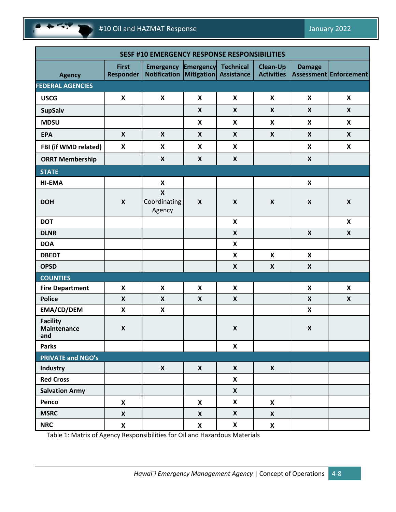

| <b>SESF #10 EMERGENCY RESPONSE RESPONSIBILITIES</b> |                                  |                                                                                   |                           |                           |                                      |                           |                               |
|-----------------------------------------------------|----------------------------------|-----------------------------------------------------------------------------------|---------------------------|---------------------------|--------------------------------------|---------------------------|-------------------------------|
| <b>Agency</b>                                       | <b>First</b><br><b>Responder</b> | <b>Emergency Emergency Technical</b><br><b>Notification Mitigation Assistance</b> |                           |                           | <b>Clean-Up</b><br><b>Activities</b> | <b>Damage</b>             | <b>Assessment Enforcement</b> |
| <b>FEDERAL AGENCIES</b>                             |                                  |                                                                                   |                           |                           |                                      |                           |                               |
| <b>USCG</b>                                         | $\boldsymbol{\mathsf{x}}$        | $\boldsymbol{\mathsf{X}}$                                                         | $\boldsymbol{\mathsf{x}}$ | $\boldsymbol{\mathsf{X}}$ | $\boldsymbol{\mathsf{X}}$            | $\boldsymbol{\mathsf{x}}$ | $\boldsymbol{x}$              |
| <b>SupSalv</b>                                      |                                  |                                                                                   | $\boldsymbol{X}$          | $\boldsymbol{X}$          | $\mathsf{X}$                         | $\boldsymbol{x}$          | $\boldsymbol{x}$              |
| <b>MDSU</b>                                         |                                  |                                                                                   | $\boldsymbol{\mathsf{X}}$ | $\boldsymbol{\mathsf{X}}$ | X                                    | $\boldsymbol{\mathsf{X}}$ | X                             |
| <b>EPA</b>                                          | $\pmb{\times}$                   | $\boldsymbol{\mathsf{X}}$                                                         | $\boldsymbol{X}$          | $\boldsymbol{X}$          | X                                    | $\boldsymbol{x}$          | $\boldsymbol{X}$              |
| FBI (if WMD related)                                | $\boldsymbol{\mathsf{x}}$        | $\boldsymbol{\mathsf{X}}$                                                         | X                         | $\boldsymbol{\mathsf{X}}$ |                                      | $\boldsymbol{x}$          | $\mathsf{X}$                  |
| <b>ORRT Membership</b>                              |                                  | $\boldsymbol{\mathsf{X}}$                                                         | X                         | $\boldsymbol{X}$          |                                      | $\boldsymbol{\mathsf{X}}$ |                               |
| <b>STATE</b>                                        |                                  |                                                                                   |                           |                           |                                      |                           |                               |
| <b>HI-EMA</b>                                       |                                  | $\boldsymbol{\mathsf{X}}$                                                         |                           |                           |                                      | $\boldsymbol{\mathsf{X}}$ |                               |
| <b>DOH</b>                                          | $\boldsymbol{\mathsf{X}}$        | $\pmb{\times}$<br>Coordinating<br>Agency                                          | X                         | $\boldsymbol{X}$          | $\boldsymbol{x}$                     | $\boldsymbol{x}$          | $\boldsymbol{\mathsf{X}}$     |
| <b>DOT</b>                                          |                                  |                                                                                   |                           | $\boldsymbol{\mathsf{X}}$ |                                      |                           | X                             |
| <b>DLNR</b>                                         |                                  |                                                                                   |                           | $\boldsymbol{\mathsf{X}}$ |                                      | $\boldsymbol{x}$          | $\boldsymbol{X}$              |
| <b>DOA</b>                                          |                                  |                                                                                   |                           | $\boldsymbol{\mathsf{X}}$ |                                      |                           |                               |
| <b>DBEDT</b>                                        |                                  |                                                                                   |                           | $\boldsymbol{\mathsf{X}}$ | X                                    | $\boldsymbol{x}$          |                               |
| <b>OPSD</b>                                         |                                  |                                                                                   |                           | $\boldsymbol{\mathsf{X}}$ | X                                    | $\boldsymbol{x}$          |                               |
| <b>COUNTIES</b>                                     |                                  |                                                                                   |                           |                           |                                      |                           |                               |
| <b>Fire Department</b>                              | $\boldsymbol{\mathsf{x}}$        | $\boldsymbol{\mathsf{X}}$                                                         | $\boldsymbol{\mathsf{x}}$ | $\boldsymbol{\mathsf{X}}$ |                                      | $\pmb{\mathsf{X}}$        | X                             |
| <b>Police</b>                                       | $\boldsymbol{x}$                 | $\boldsymbol{X}$                                                                  | X                         | $\boldsymbol{X}$          |                                      | $\boldsymbol{x}$          | $\boldsymbol{X}$              |
| EMA/CD/DEM                                          | $\boldsymbol{\mathsf{X}}$        | X                                                                                 |                           |                           |                                      | $\boldsymbol{\mathsf{X}}$ |                               |
| <b>Facility</b><br><b>Maintenance</b><br>and        | $\pmb{\times}$                   |                                                                                   |                           | $\pmb{\mathsf{X}}$        |                                      | $\pmb{\mathsf{X}}$        |                               |
| <b>Parks</b>                                        |                                  |                                                                                   |                           | $\pmb{\mathsf{X}}$        |                                      |                           |                               |
| <b>PRIVATE and NGO's</b>                            |                                  |                                                                                   |                           |                           |                                      |                           |                               |
| Industry                                            |                                  | $\boldsymbol{X}$                                                                  | $\mathsf{X}$              | $\boldsymbol{\mathsf{X}}$ | $\boldsymbol{X}$                     |                           |                               |
| <b>Red Cross</b>                                    |                                  |                                                                                   |                           | $\boldsymbol{\mathsf{X}}$ |                                      |                           |                               |
| <b>Salvation Army</b>                               |                                  |                                                                                   |                           | $\boldsymbol{\mathsf{X}}$ |                                      |                           |                               |
| Penco                                               | X                                |                                                                                   | X                         | $\pmb{\mathsf{X}}$        | $\boldsymbol{X}$                     |                           |                               |
| <b>MSRC</b>                                         | $\pmb{\mathsf{X}}$               |                                                                                   | X                         | $\boldsymbol{X}$          | X                                    |                           |                               |
| <b>NRC</b>                                          | $\pmb{\mathsf{X}}$               |                                                                                   | $\boldsymbol{\mathsf{X}}$ | X                         | $\boldsymbol{\mathsf{X}}$            |                           |                               |

Table 1: Matrix of Agency Responsibilities for Oil and Hazardous Materials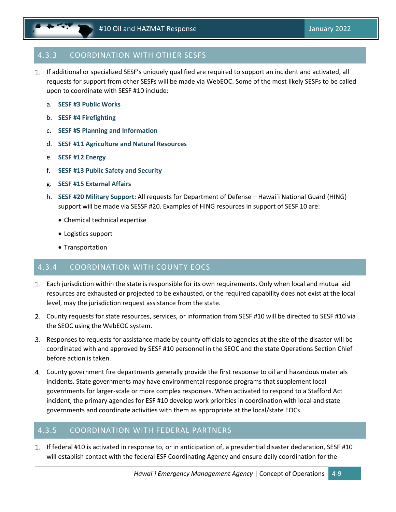# 4.3.3 COORDINATION WITH OTHER SESFS

- If additional or specialized SESF's uniquely qualified are required to support an incident and activated, all requests for support from other SESFs will be made via WebEOC. Some of the most likely SESFs to be called upon to coordinate with SESF #10 include:
	- a. **SESF #3 Public Works**
	- b. **SESF #4 Firefighting**
	- c. **SESF #5 Planning and Information**
	- d. **SESF #11 Agriculture and Natural Resources**
	- e. **SESF #12 Energy**
	- f. **SESF #13 Public Safety and Security**
	- g. **SESF #15 External Affairs**
	- h. **SESF #20 Military Support**: All requests for Department of Defense Hawai`i National Guard (HING) support will be made via SESSF #20. Examples of HING resources in support of SESF 10 are:
		- Chemical technical expertise
		- Logistics support
		- Transportation

### 4.3.4 COORDINATION WITH COUNTY EOCS

- Each jurisdiction within the state is responsible for its own requirements. Only when local and mutual aid resources are exhausted or projected to be exhausted, or the required capability does not exist at the local level, may the jurisdiction request assistance from the state.
- County requests for state resources, services, or information from SESF #10 will be directed to SESF #10 via the SEOC using the WebEOC system.
- 3. Responses to requests for assistance made by county officials to agencies at the site of the disaster will be coordinated with and approved by SESF #10 personnel in the SEOC and the state Operations Section Chief before action is taken.
- County government fire departments generally provide the first response to oil and hazardous materials incidents. State governments may have environmental response programs that supplement local governments for larger-scale or more complex responses. When activated to respond to a Stafford Act incident, the primary agencies for ESF #10 develop work priorities in coordination with local and state governments and coordinate activities with them as appropriate at the local/state EOCs.

### 4.3.5 COORDINATION WITH FEDERAL PARTNERS

If federal #10 is activated in response to, or in anticipation of, a presidential disaster declaration, SESF #10 will establish contact with the federal ESF Coordinating Agency and ensure daily coordination for the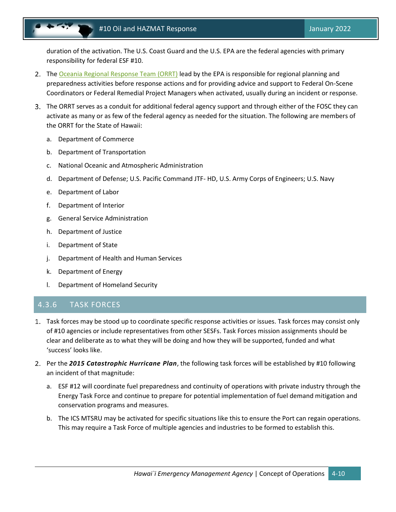duration of the activation. The U.S. Coast Guard and the U.S. EPA are the federal agencies with primary responsibility for federal ESF #10.

- 2. The [Oceania Regional Response Team \(ORRT\)](https://response.epa.gov/site/site_profile.aspx?site_id=12285) lead by the EPA is responsible for regional planning and preparedness activities before response actions and for providing advice and support to Federal On-Scene Coordinators or Federal Remedial Project Managers when activated, usually during an incident or response.
- The ORRT serves as a conduit for additional federal agency support and through either of the FOSC they can activate as many or as few of the federal agency as needed for the situation. The following are members of the ORRT for the State of Hawaii:
	- a. Department of Commerce
	- b. Department of Transportation
	- c. National Oceanic and Atmospheric Administration
	- d. Department of Defense; U.S. Pacific Command JTF- HD, U.S. Army Corps of Engineers; U.S. Navy
	- e. Department of Labor
	- f. Department of Interior
	- g. General Service Administration
	- h. Department of Justice
	- i. Department of State
	- j. Department of Health and Human Services
	- k. Department of Energy
	- l. Department of Homeland Security

### 4.3.6 TASK FORCES

- Task forces may be stood up to coordinate specific response activities or issues. Task forces may consist only of #10 agencies or include representatives from other SESFs. Task Forces mission assignments should be clear and deliberate as to what they will be doing and how they will be supported, funded and what 'success' looks like.
- Per the *2015 Catastrophic Hurricane Plan*, the following task forces will be established by #10 following an incident of that magnitude:
	- a. ESF #12 will coordinate fuel preparedness and continuity of operations with private industry through the Energy Task Force and continue to prepare for potential implementation of fuel demand mitigation and conservation programs and measures.
	- b. The ICS MTSRU may be activated for specific situations like this to ensure the Port can regain operations. This may require a Task Force of multiple agencies and industries to be formed to establish this.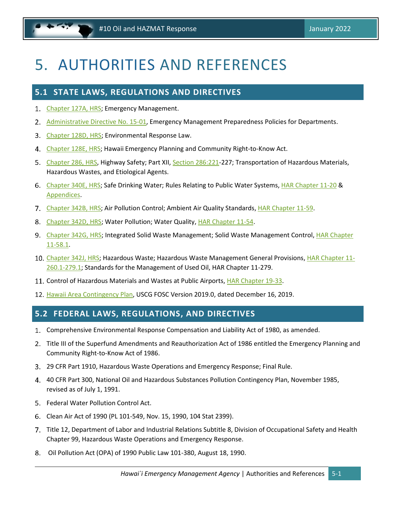# <span id="page-28-0"></span>5. AUTHORITIES AND REFERENCES

# <span id="page-28-1"></span>**5.1 STATE LAWS, REGULATIONS AND DIRECTIVES**

- 1. [Chapter 127A, HRS;](https://www.capitol.hawaii.gov/hrscurrent/Vol03_Ch0121-0200D/HRS0127A/) Emergency Management.
- 2. [Administrative Directive No. 15-01,](https://dod.hawaii.gov/hiema/files/2017/08/AD-15-01-Emergency-Management-Preparedness-Requirements-for-Departments.pdf) Emergency Management Preparedness Policies for Departments.
- 3. [Chapter 128D, HRS;](https://www.capitol.hawaii.gov/hrscurrent/Vol03_Ch0121-0200D/HRS0128D/) Environmental Response Law.
- 4. [Chapter 128E, HRS;](https://www.capitol.hawaii.gov/hrscurrent/Vol03_Ch0121-0200D/HRS0128E/) Hawaii Emergency Planning and Community Right-to-Know Act.
- 5. [Chapter 286,](https://www.capitol.hawaii.gov/hrscurrent/Vol05_Ch0261-0319/HRS0286/) HRS, Highway Safety; Part XII, [Section 286:221-](https://www.capitol.hawaii.gov/hrscurrent/Vol05_Ch0261-0319/HRS0286/HRS_0286-0221.htm)227; Transportation of Hazardous Materials, Hazardous Wastes, and Etiological Agents.
- [Chapter 340E, HRS;](https://www.capitol.hawaii.gov/hrscurrent/Vol06_Ch0321-0344/HRS0340E/) Safe Drinking Water; Rules Relating to Public Water Systems, [HAR Chapter 11-20](https://health.hawaii.gov/opppd/files/2020/11/11-20-October-29-2020.pdf) & [Appendices.](https://health.hawaii.gov/opppd/files/2021/04/Appendices-A-K.pdf)
- 7. [Chapter 342B, HRS;](https://www.capitol.hawaii.gov/hrscurrent/Vol06_Ch0321-0344/HRS0342B/) Air Pollution Control; Ambient Air Quality Standards, [HAR Chapter 11-59.](https://health.hawaii.gov/opppd/files/2015/06/11-59.pdf)
- [Chapter 342D, HRS;](https://www.capitol.hawaii.gov/hrscurrent/Vol06_Ch0321-0344/HRS0342D/) Water Pollution; Water Quality, HAR [Chapter](https://health.hawaii.gov/opppd/files/2021/11/Clean_Water_Branch_HAR_11-54_20141115.pdf) 11-54.
- 9. [Chapter 342G, HRS;](https://www.capitol.hawaii.gov/hrscurrent/Vol06_Ch0321-0344/HRS0342G/) Integrated Solid Waste Management; Solid Waste Management Control, HAR Chapter [11-58.1.](https://health.hawaii.gov/opppd/files/2015/06/11-58-1.pdf)
- 10. [Chapter 342J, HRS;](https://www.capitol.hawaii.gov/hrscurrent/Vol06_Ch0321-0344/HRS0342J/) Hazardous Waste; Hazardous Waste Management General Provisions[, HAR Chapter 11-](https://health.hawaii.gov/opppd/files/2020/06/11-260.1-279.1.pdf) [260.1-279.1;](https://health.hawaii.gov/opppd/files/2020/06/11-260.1-279.1.pdf) Standards for the Management of Used Oil, HAR Chapter 11-279.
- Control of Hazardous Materials and Wastes at Public Airports, [HAR Chapter 19-33.](https://hidot.hawaii.gov/airports/files/2013/01/33-HazMat.pdf)
- 12. [Hawaii Area Contingency Plan,](https://homeport.uscg.mil/Lists/Content/Attachments/64389/Homeport%20Loaded%20ACP%20DEC%202019.pdf) USCG FOSC Version 2019.0, dated December 16, 2019.

# <span id="page-28-2"></span>**5.2 FEDERAL LAWS, REGULATIONS, AND DIRECTIVES**

- Comprehensive Environmental Response Compensation and Liability Act of 1980, as amended.
- 2. Title III of the Superfund Amendments and Reauthorization Act of 1986 entitled the Emergency Planning and Community Right-to-Know Act of 1986.
- 29 CFR Part 1910, Hazardous Waste Operations and Emergency Response; Final Rule.
- 4. 40 CFR Part 300, National Oil and Hazardous Substances Pollution Contingency Plan, November 1985, revised as of July 1, 1991.
- 5. Federal Water Pollution Control Act.
- Clean Air Act of 1990 (PL 101-549, Nov. 15, 1990, 104 Stat 2399).
- Title 12, Department of Labor and Industrial Relations Subtitle 8, Division of Occupational Safety and Health Chapter 99, Hazardous Waste Operations and Emergency Response.
- Oil Pollution Act (OPA) of 1990 Public Law 101-380, August 18, 1990.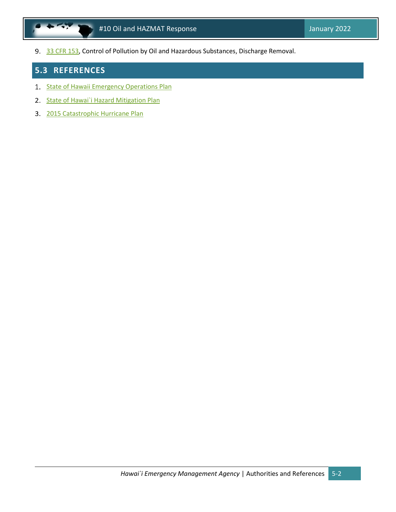9. [33 CFR 153,](https://www.ecfr.gov/current/title-33/chapter-I/subchapter-O/part-153) Control of Pollution by Oil and Hazardous Substances, Discharge Removal.

# <span id="page-29-0"></span>**5.3 REFERENCES**

- 1. [State of Hawaii Emergency Operations Plan](https://dod.hawaii.gov/hiema/files/2020/02/Hawaii-State-EOP-Fall-2019-Published.pdf)
- 2. State of Hawai'i Hazard Mitigation Plan
- 3. [2015 Catastrophic Hurricane Plan](https://dod.hawaii.gov/hiema/files/2016/03/2015Hawaii_Cat_Plan.pdf)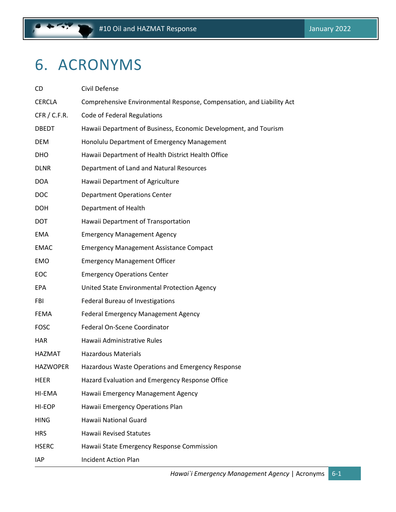# <span id="page-30-0"></span>6. ACRONYMS

| CD              | Civil Defense                                                         |
|-----------------|-----------------------------------------------------------------------|
| <b>CERCLA</b>   | Comprehensive Environmental Response, Compensation, and Liability Act |
| CFR / C.F.R.    | <b>Code of Federal Regulations</b>                                    |
| <b>DBEDT</b>    | Hawaii Department of Business, Economic Development, and Tourism      |
| <b>DEM</b>      | Honolulu Department of Emergency Management                           |
| DHO.            | Hawaii Department of Health District Health Office                    |
| <b>DLNR</b>     | Department of Land and Natural Resources                              |
| <b>DOA</b>      | Hawaii Department of Agriculture                                      |
| <b>DOC</b>      | <b>Department Operations Center</b>                                   |
| <b>DOH</b>      | Department of Health                                                  |
| <b>DOT</b>      | Hawaii Department of Transportation                                   |
| <b>EMA</b>      | <b>Emergency Management Agency</b>                                    |
| <b>EMAC</b>     | <b>Emergency Management Assistance Compact</b>                        |
| <b>EMO</b>      | <b>Emergency Management Officer</b>                                   |
| <b>EOC</b>      | <b>Emergency Operations Center</b>                                    |
| <b>EPA</b>      | United State Environmental Protection Agency                          |
| FBI             | Federal Bureau of Investigations                                      |
| <b>FEMA</b>     | Federal Emergency Management Agency                                   |
| <b>FOSC</b>     | Federal On-Scene Coordinator                                          |
| <b>HAR</b>      | Hawaii Administrative Rules                                           |
| HAZMAT          | <b>Hazardous Materials</b>                                            |
| <b>HAZWOPER</b> | Hazardous Waste Operations and Emergency Response                     |
| HEER            | Hazard Evaluation and Emergency Response Office                       |
| HI-EMA          | Hawaii Emergency Management Agency                                    |
| HI-EOP          | Hawaii Emergency Operations Plan                                      |
| <b>HING</b>     | Hawaii National Guard                                                 |
| <b>HRS</b>      | <b>Hawaii Revised Statutes</b>                                        |
| <b>HSERC</b>    | Hawaii State Emergency Response Commission                            |
| <b>IAP</b>      | <b>Incident Action Plan</b>                                           |